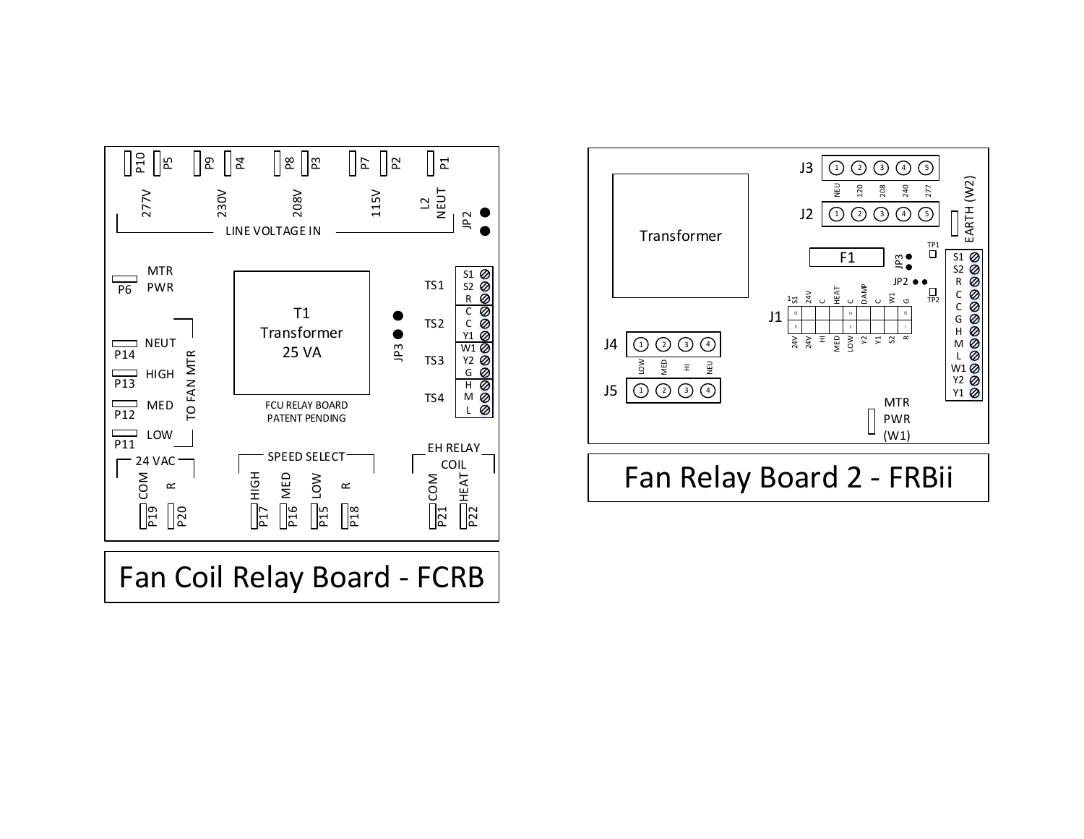